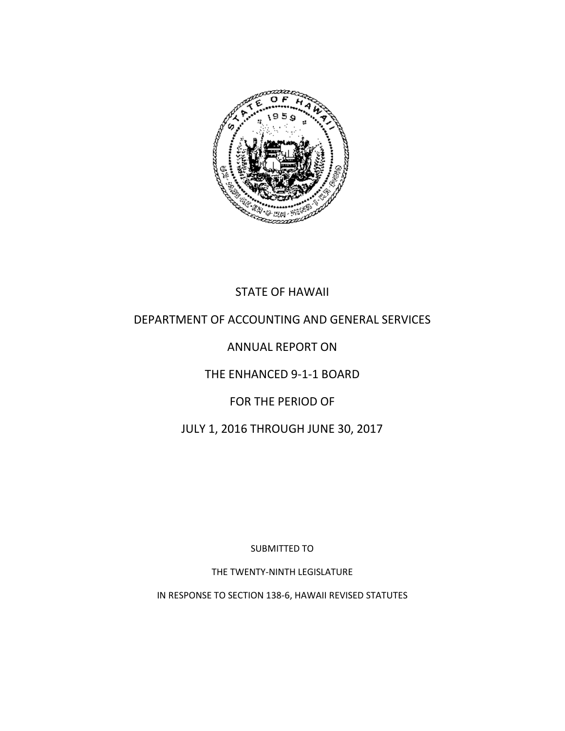

## STATE OF HAWAII

#### DEPARTMENT OF ACCOUNTING AND GENERAL SERVICES

## ANNUAL REPORT ON

#### THE ENHANCED 9-1-1 BOARD

#### FOR THE PERIOD OF

## JULY 1, 2016 THROUGH JUNE 30, 2017

SUBMITTED TO

THE TWENTY-NINTH LEGISLATURE

IN RESPONSE TO SECTION 138-6, HAWAII REVISED STATUTES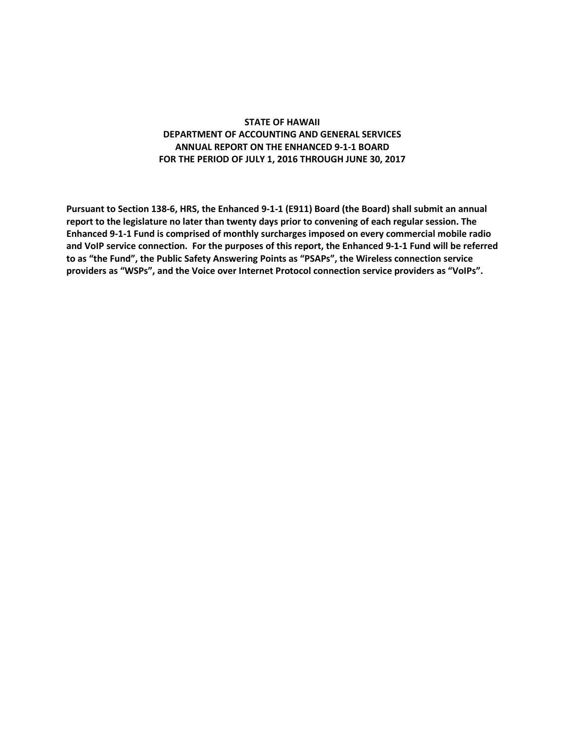#### **STATE OF HAWAII DEPARTMENT OF ACCOUNTING AND GENERAL SERVICES ANNUAL REPORT ON THE ENHANCED 9-1-1 BOARD FOR THE PERIOD OF JULY 1, 2016 THROUGH JUNE 30, 2017**

**Pursuant to Section 138-6, HRS, the Enhanced 9-1-1 (E911) Board (the Board) shall submit an annual report to the legislature no later than twenty days prior to convening of each regular session. The Enhanced 9-1-1 Fund is comprised of monthly surcharges imposed on every commercial mobile radio and VoIP service connection. For the purposes of this report, the Enhanced 9-1-1 Fund will be referred to as "the Fund", the Public Safety Answering Points as "PSAPs", the Wireless connection service providers as "WSPs", and the Voice over Internet Protocol connection service providers as "VoIPs".**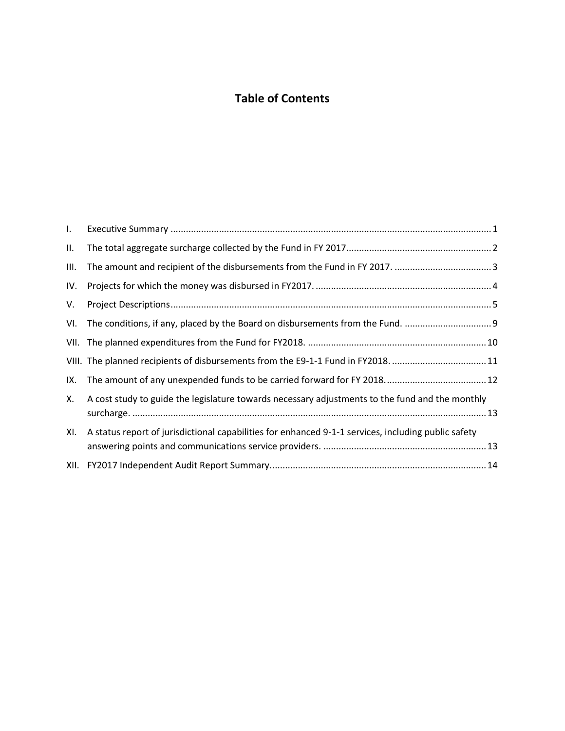## **Table of Contents**

| $\mathbf{L}$ |                                                                                                     |
|--------------|-----------------------------------------------------------------------------------------------------|
| Ш.           |                                                                                                     |
| III.         |                                                                                                     |
| IV.          |                                                                                                     |
| V.           |                                                                                                     |
|              |                                                                                                     |
|              |                                                                                                     |
|              | VIII. The planned recipients of disbursements from the E9-1-1 Fund in FY2018. 11                    |
| IX.          |                                                                                                     |
| Х.           | A cost study to guide the legislature towards necessary adjustments to the fund and the monthly     |
| XI.          | A status report of jurisdictional capabilities for enhanced 9-1-1 services, including public safety |
|              |                                                                                                     |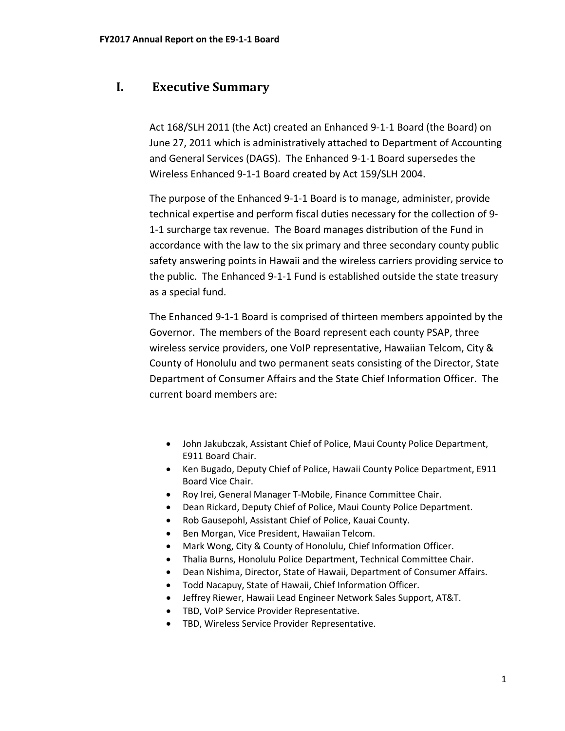#### <span id="page-3-0"></span>**I. Executive Summary**

Act 168/SLH 2011 (the Act) created an Enhanced 9-1-1 Board (the Board) on June 27, 2011 which is administratively attached to Department of Accounting and General Services (DAGS). The Enhanced 9-1-1 Board supersedes the Wireless Enhanced 9-1-1 Board created by Act 159/SLH 2004.

The purpose of the Enhanced 9-1-1 Board is to manage, administer, provide technical expertise and perform fiscal duties necessary for the collection of 9- 1-1 surcharge tax revenue. The Board manages distribution of the Fund in accordance with the law to the six primary and three secondary county public safety answering points in Hawaii and the wireless carriers providing service to the public. The Enhanced 9-1-1 Fund is established outside the state treasury as a special fund.

The Enhanced 9-1-1 Board is comprised of thirteen members appointed by the Governor. The members of the Board represent each county PSAP, three wireless service providers, one VoIP representative, Hawaiian Telcom, City & County of Honolulu and two permanent seats consisting of the Director, State Department of Consumer Affairs and the State Chief Information Officer. The current board members are:

- John Jakubczak, Assistant Chief of Police, Maui County Police Department, E911 Board Chair.
- Ken Bugado, Deputy Chief of Police, Hawaii County Police Department, E911 Board Vice Chair.
- Roy Irei, General Manager T-Mobile, Finance Committee Chair.
- Dean Rickard, Deputy Chief of Police, Maui County Police Department.
- Rob Gausepohl, Assistant Chief of Police, Kauai County.
- Ben Morgan, Vice President, Hawaiian Telcom.
- Mark Wong, City & County of Honolulu, Chief Information Officer.
- Thalia Burns, Honolulu Police Department, Technical Committee Chair.
- Dean Nishima, Director, State of Hawaii, Department of Consumer Affairs.
- Todd Nacapuy, State of Hawaii, Chief Information Officer.
- Jeffrey Riewer, Hawaii Lead Engineer Network Sales Support, AT&T.
- TBD, VoIP Service Provider Representative.
- TBD, Wireless Service Provider Representative.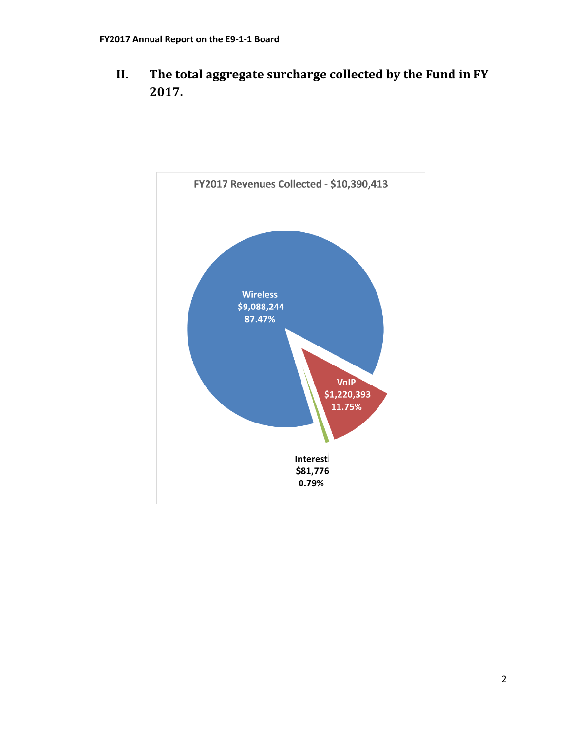<span id="page-4-0"></span>**II. The total aggregate surcharge collected by the Fund in FY 2017.**

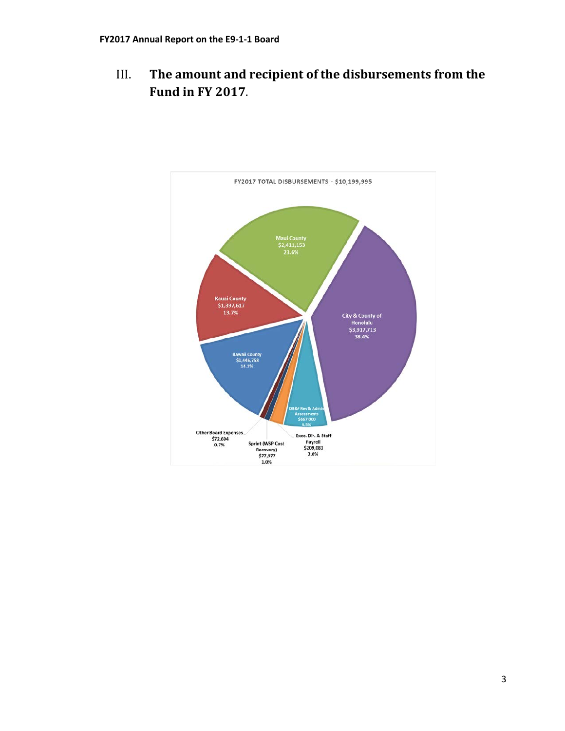<span id="page-5-0"></span>III. **The amount and recipient of the disbursements from the Fund in FY 2017**.

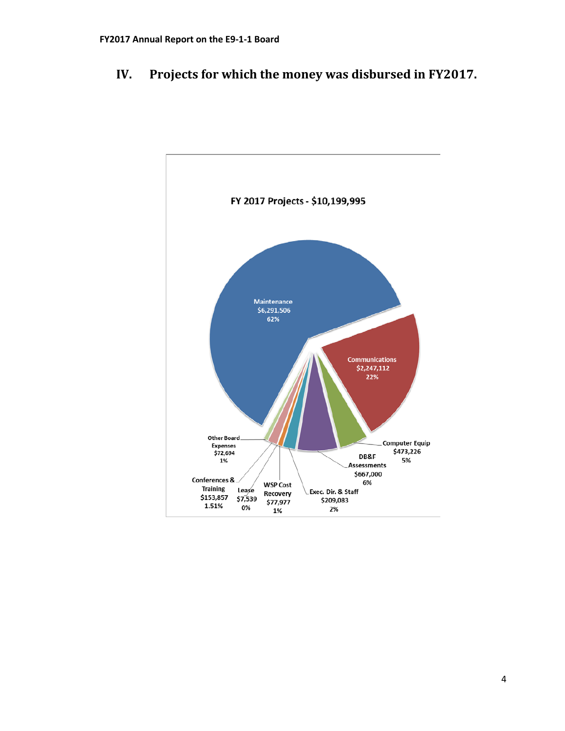## <span id="page-6-0"></span>**IV. Projects for which the money was disbursed in FY2017.**

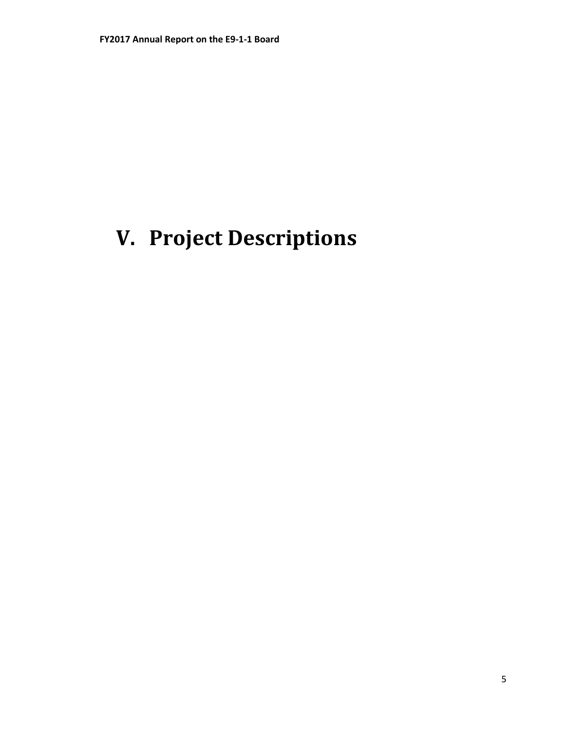# <span id="page-7-0"></span>**V. Project Descriptions**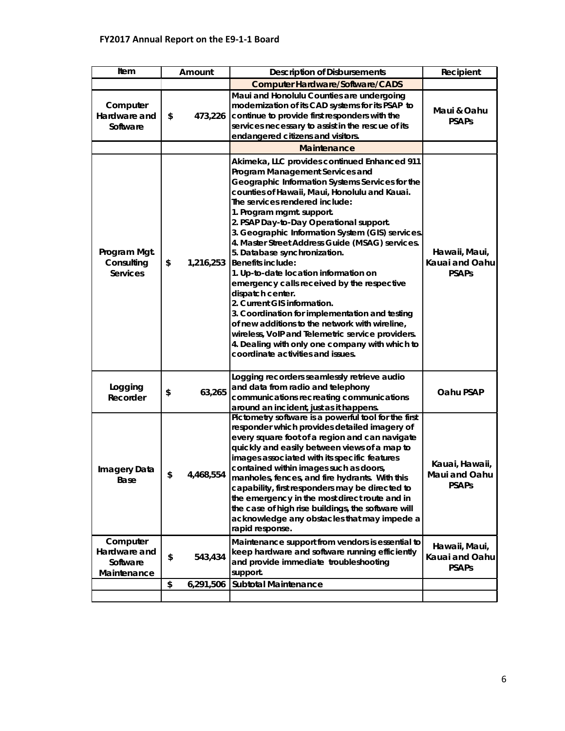| Item                                                | Amount |           | <b>Description of Disbursements</b>                                                                                                                                                                                                                                                                                                                                                                                                                                                                                                                                                                                                                                                                                                                                                                                                                       | Recipient                                       |
|-----------------------------------------------------|--------|-----------|-----------------------------------------------------------------------------------------------------------------------------------------------------------------------------------------------------------------------------------------------------------------------------------------------------------------------------------------------------------------------------------------------------------------------------------------------------------------------------------------------------------------------------------------------------------------------------------------------------------------------------------------------------------------------------------------------------------------------------------------------------------------------------------------------------------------------------------------------------------|-------------------------------------------------|
|                                                     |        |           | <b>Computer Hardware/Software/CADS</b>                                                                                                                                                                                                                                                                                                                                                                                                                                                                                                                                                                                                                                                                                                                                                                                                                    |                                                 |
| Computer<br>Hardware and<br>Software                | \$     | 473,226   | Maui and Honolulu Counties are undergoing<br>modernization of its CAD systems for its PSAP to<br>continue to provide first responders with the<br>services necessary to assist in the rescue of its<br>endangered citizens and visitors.                                                                                                                                                                                                                                                                                                                                                                                                                                                                                                                                                                                                                  | Maui & Oahu<br><b>PSAPs</b>                     |
|                                                     |        |           | <b>Maintenance</b>                                                                                                                                                                                                                                                                                                                                                                                                                                                                                                                                                                                                                                                                                                                                                                                                                                        |                                                 |
| Program Mgt.<br>Consulting<br><b>Services</b>       | \$     | 1,216,253 | Akimeka, LLC provides continued Enhanced 911<br>Program Management Services and<br>Geographic Information Systems Services for the<br>counties of Hawaii, Maui, Honolulu and Kauai.<br>The services rendered include:<br>1. Program mgmt. support.<br>2. PSAP Day-to-Day Operational support.<br>3. Geographic Information System (GIS) services.<br>4. Master Street Address Guide (MSAG) services.<br>5. Database synchronization.<br><b>Benefits include:</b><br>1. Up-to-date location information on<br>emergency calls received by the respective<br>dispatch center.<br>2. Current GIS information.<br>3. Coordination for implementation and testing<br>of new additions to the network with wireline,<br>wireless, VoIP and Telemetric service providers.<br>4. Dealing with only one company with which to<br>coordinate activities and issues. | Hawaii, Maui,<br>Kauai and Oahu<br><b>PSAPs</b> |
| Logging<br>Recorder                                 | \$     | 63,265    | Logging recorders seamlessly retrieve audio<br>and data from radio and telephony<br>communications recreating communications<br>around an incident, just as it happens.                                                                                                                                                                                                                                                                                                                                                                                                                                                                                                                                                                                                                                                                                   | Oahu PSAP                                       |
| Imagery Data<br>Base                                | \$     | 4,468,554 | Pictometry software is a powerful tool for the first<br>responder which provides detailed imagery of<br>every square foot of a region and can navigate<br>quickly and easily between views of a map to<br>images associated with its specific features<br>contained within images such as doors,<br>manholes, fences, and fire hydrants. With this<br>capability, first responders may be directed to<br>the emergency in the most direct route and in<br>the case of high rise buildings, the software will<br>acknowledge any obstacles that may impede a<br>rapid response.                                                                                                                                                                                                                                                                            | Kauai, Hawaii,<br>Maui and Oahu<br><b>PSAPs</b> |
| Computer<br>Hardware and<br>Software<br>Maintenance | \$     | 543,434   | Maintenance support from vendors is essential to<br>keep hardware and software running efficiently<br>and provide immediate troubleshooting<br>support.                                                                                                                                                                                                                                                                                                                                                                                                                                                                                                                                                                                                                                                                                                   | Hawaii, Maui,<br>Kauai and Oahu<br><b>PSAPs</b> |
|                                                     | \$     | 6,291,506 | <b>Subtotal Maintenance</b>                                                                                                                                                                                                                                                                                                                                                                                                                                                                                                                                                                                                                                                                                                                                                                                                                               |                                                 |
|                                                     |        |           |                                                                                                                                                                                                                                                                                                                                                                                                                                                                                                                                                                                                                                                                                                                                                                                                                                                           |                                                 |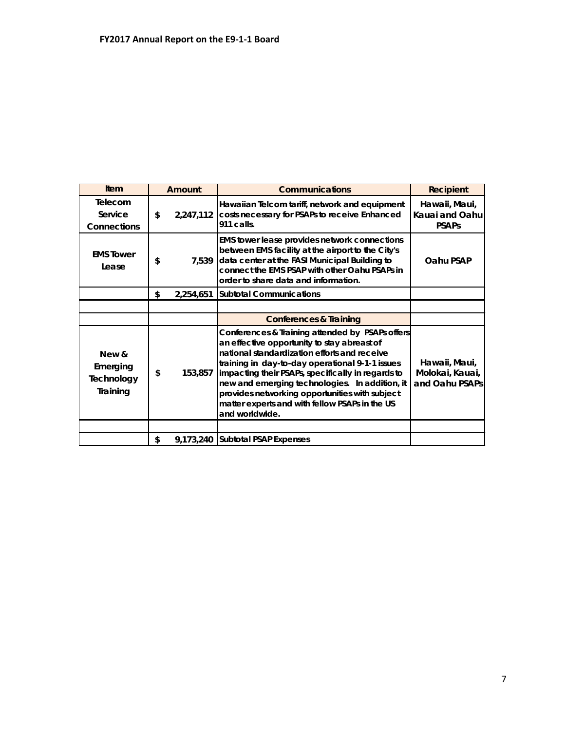| <b>Item</b>                                 | Amount |           | <b>Communications</b>                                                                                                                                                                                                                                                                                                                                                                                                          | <b>Recipient</b>                                   |
|---------------------------------------------|--------|-----------|--------------------------------------------------------------------------------------------------------------------------------------------------------------------------------------------------------------------------------------------------------------------------------------------------------------------------------------------------------------------------------------------------------------------------------|----------------------------------------------------|
| Telecom<br>Service<br><b>Connections</b>    | \$     | 2,247,112 | Hawaiian Telcom tariff, network and equipment<br>costs necessary for PSAPs to receive Enhanced<br>911 calls.                                                                                                                                                                                                                                                                                                                   | Hawaii, Maui,<br>Kauai and Oahu<br><b>PSAPs</b>    |
| <b>FMS</b> Tower<br>Lease                   | \$     | 7,539     | EMS tower lease provides network connections<br>between EMS facility at the airport to the City's<br>data center at the FASI Municipal Building to<br>connect the EMS PSAP with other Oahu PSAPs in<br>order to share data and information.                                                                                                                                                                                    | Oahu PSAP                                          |
|                                             | \$     | 2,254,651 | <b>Subtotal Communications</b>                                                                                                                                                                                                                                                                                                                                                                                                 |                                                    |
|                                             |        |           |                                                                                                                                                                                                                                                                                                                                                                                                                                |                                                    |
|                                             |        |           | <b>Conferences &amp; Training</b>                                                                                                                                                                                                                                                                                                                                                                                              |                                                    |
| New &<br>Emerging<br>Technology<br>Training | \$     | 153,857   | Conferences & Training attended by PSAPs offers<br>an effective opportunity to stay abreast of<br>national standardization efforts and receive<br>training in day-to-day operational 9-1-1 issues<br>impacting their PSAPs, specifically in regards to<br>new and emerging technologies. In addition, it<br>provides networking opportunities with subject<br>matter experts and with fellow PSAPs in the US<br>and worldwide. | Hawaii, Maui,<br>Molokai, Kauai,<br>and Oahu PSAPs |
|                                             |        |           |                                                                                                                                                                                                                                                                                                                                                                                                                                |                                                    |
|                                             | \$     |           | 9,173,240 Subtotal PSAP Expenses                                                                                                                                                                                                                                                                                                                                                                                               |                                                    |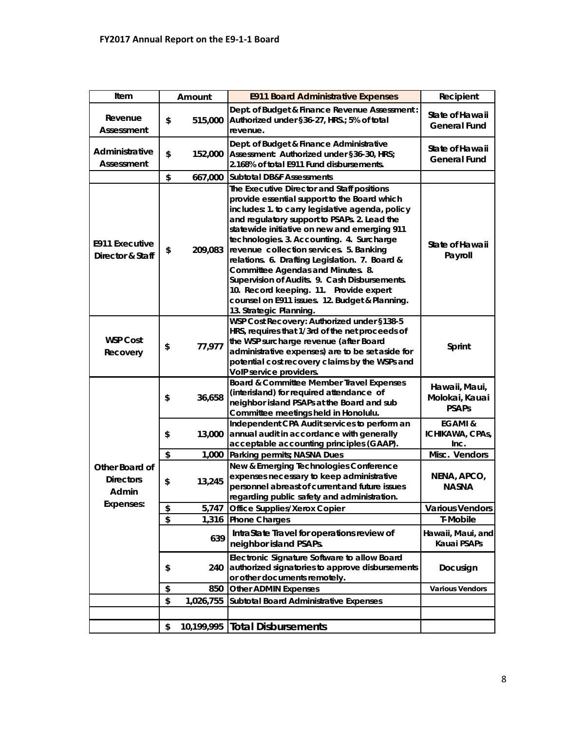| Amount          | <b>E911 Board Administrative Expenses</b>                                                                                                                                                                                                                                                                                                                                                                                                                                                                                                                                                             | Recipient                                                                                                                                                                                           |
|-----------------|-------------------------------------------------------------------------------------------------------------------------------------------------------------------------------------------------------------------------------------------------------------------------------------------------------------------------------------------------------------------------------------------------------------------------------------------------------------------------------------------------------------------------------------------------------------------------------------------------------|-----------------------------------------------------------------------------------------------------------------------------------------------------------------------------------------------------|
| \$<br>515,000   | Dept. of Budget & Finance Revenue Assessment:<br>Authorized under §36-27, HRS.; 5% of total<br>revenue.                                                                                                                                                                                                                                                                                                                                                                                                                                                                                               | State of Hawaii<br><b>General Fund</b>                                                                                                                                                              |
| \$<br>152,000   | Dept. of Budget & Finance Administrative<br>Assessment: Authorized under §36-30, HRS;<br>2.168% of total E911 Fund disbursements.                                                                                                                                                                                                                                                                                                                                                                                                                                                                     | State of Hawaii<br><b>General Fund</b>                                                                                                                                                              |
| \$<br>667,000   | <b>Subtotal DB&amp;F Assessments</b>                                                                                                                                                                                                                                                                                                                                                                                                                                                                                                                                                                  |                                                                                                                                                                                                     |
| \$<br>209,083   | The Executive Director and Staff positions<br>provide essential support to the Board which<br>includes: 1. to carry legislative agenda, policy<br>and regulatory support to PSAPs. 2. Lead the<br>statewide initiative on new and emerging 911<br>technologies. 3. Accounting. 4. Surcharge<br>revenue collection services. 5. Banking<br>relations. 6. Drafting Legislation. 7. Board &<br>Committee Agendas and Minutes. 8.<br>Supervision of Audits. 9. Cash Disbursements.<br>10. Record keeping. 11. Provide expert<br>counsel on E911 issues. 12. Budget & Planning.<br>13. Strategic Planning. | State of Hawaii<br>Payroll                                                                                                                                                                          |
| \$<br>77,977    | HRS, requires that 1/3rd of the net proceeds of<br>the WSP surcharge revenue (after Board<br>administrative expenses) are to be set aside for<br>potential cost recovery claims by the WSPs and                                                                                                                                                                                                                                                                                                                                                                                                       | Sprint                                                                                                                                                                                              |
| \$<br>36,658    | Board & Committee Member Travel Expenses<br>(interisland) for required attendance of<br>neighbor island PSAPs at the Board and sub                                                                                                                                                                                                                                                                                                                                                                                                                                                                    | Hawaii, Maui,<br>Molokai, Kauai<br><b>PSAPs</b>                                                                                                                                                     |
| \$<br>13,000    | Independent CPA Audit services to perform an<br>annual audit in accordance with generally<br>acceptable accounting principles (GAAP).                                                                                                                                                                                                                                                                                                                                                                                                                                                                 | <b>EGAMI &amp;</b><br>ICHIKAWA, CPAs,<br>Inc.                                                                                                                                                       |
| \$<br>1,000     | Parking permits; NASNA Dues                                                                                                                                                                                                                                                                                                                                                                                                                                                                                                                                                                           | Misc. Vendors                                                                                                                                                                                       |
| \$<br>13,245    | New & Emerging Technologies Conference<br>expenses necessary to keep administrative<br>personnel abreast of current and future issues<br>regarding public safety and administration.                                                                                                                                                                                                                                                                                                                                                                                                                  | NENA, APCO,<br><b>NASNA</b>                                                                                                                                                                         |
| 5,747           |                                                                                                                                                                                                                                                                                                                                                                                                                                                                                                                                                                                                       | <b>Various Vendors</b>                                                                                                                                                                              |
|                 |                                                                                                                                                                                                                                                                                                                                                                                                                                                                                                                                                                                                       | T-Mobile                                                                                                                                                                                            |
| 639             | IntraState Travel for operations review of<br>neighbor island PSAPs.                                                                                                                                                                                                                                                                                                                                                                                                                                                                                                                                  | Hawaii, Maui, and<br>Kauai PSAPs                                                                                                                                                                    |
| \$<br>240       | Electronic Signature Software to allow Board<br>authorized signatories to approve disbursements<br>or other documents remotely.                                                                                                                                                                                                                                                                                                                                                                                                                                                                       | Docusign                                                                                                                                                                                            |
| \$<br>850       | <b>Other ADMIN Expenses</b>                                                                                                                                                                                                                                                                                                                                                                                                                                                                                                                                                                           | <b>Various Vendors</b>                                                                                                                                                                              |
| \$<br>1,026,755 | <b>Subtotal Board Administrative Expenses</b>                                                                                                                                                                                                                                                                                                                                                                                                                                                                                                                                                         |                                                                                                                                                                                                     |
|                 |                                                                                                                                                                                                                                                                                                                                                                                                                                                                                                                                                                                                       |                                                                                                                                                                                                     |
| \$<br>\$<br>\$  | 1,316<br>10,199,995                                                                                                                                                                                                                                                                                                                                                                                                                                                                                                                                                                                   | WSP Cost Recovery: Authorized under §138-5<br>VolP service providers.<br>Committee meetings held in Honolulu.<br>Office Supplies/Xerox Copier<br><b>Phone Charges</b><br><b>Total Disbursements</b> |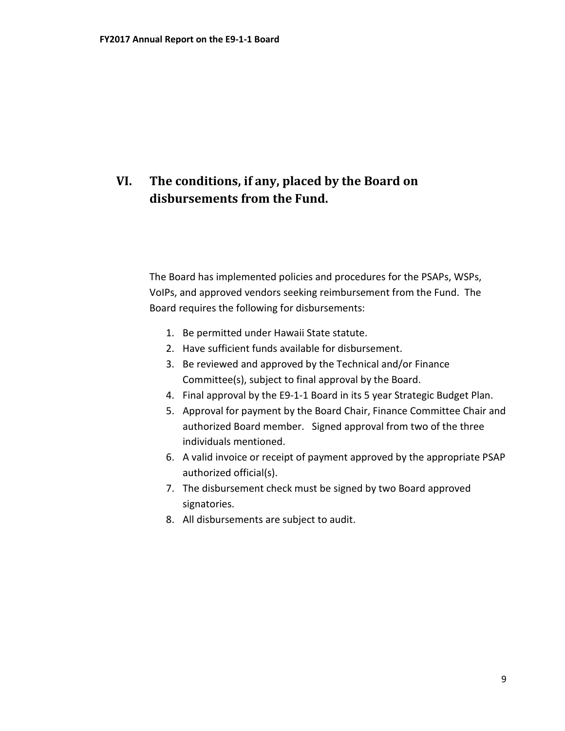## <span id="page-11-0"></span>**VI. The conditions, if any, placed by the Board on disbursements from the Fund.**

The Board has implemented policies and procedures for the PSAPs, WSPs, VoIPs, and approved vendors seeking reimbursement from the Fund. The Board requires the following for disbursements:

- 1. Be permitted under Hawaii State statute.
- 2. Have sufficient funds available for disbursement.
- 3. Be reviewed and approved by the Technical and/or Finance Committee(s), subject to final approval by the Board.
- 4. Final approval by the E9-1-1 Board in its 5 year Strategic Budget Plan.
- 5. Approval for payment by the Board Chair, Finance Committee Chair and authorized Board member. Signed approval from two of the three individuals mentioned.
- 6. A valid invoice or receipt of payment approved by the appropriate PSAP authorized official(s).
- 7. The disbursement check must be signed by two Board approved signatories.
- 8. All disbursements are subject to audit.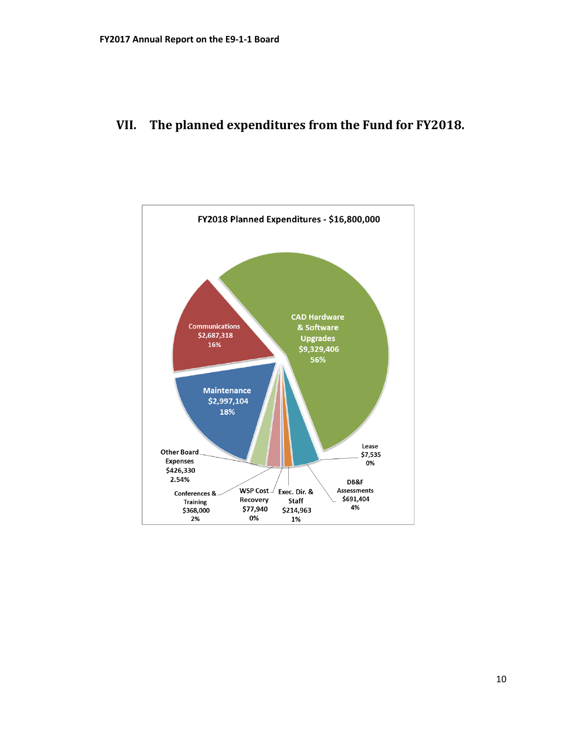## <span id="page-12-0"></span>**VII. The planned expenditures from the Fund for FY2018.**

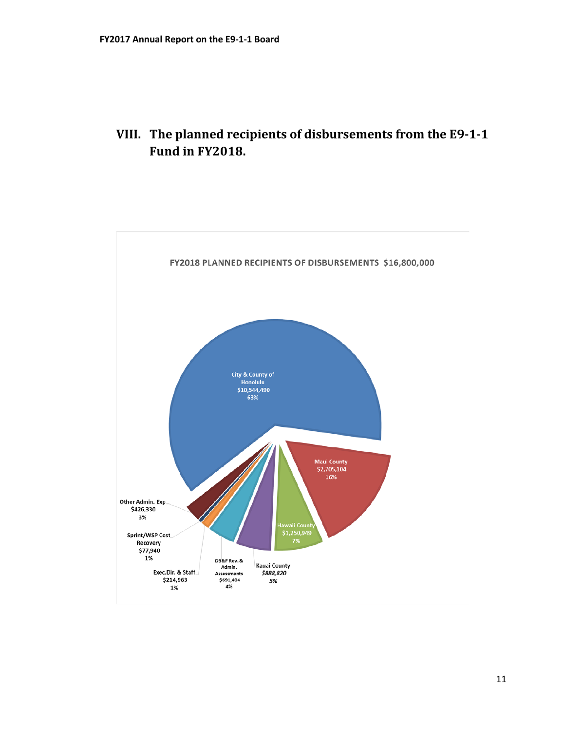<span id="page-13-0"></span>

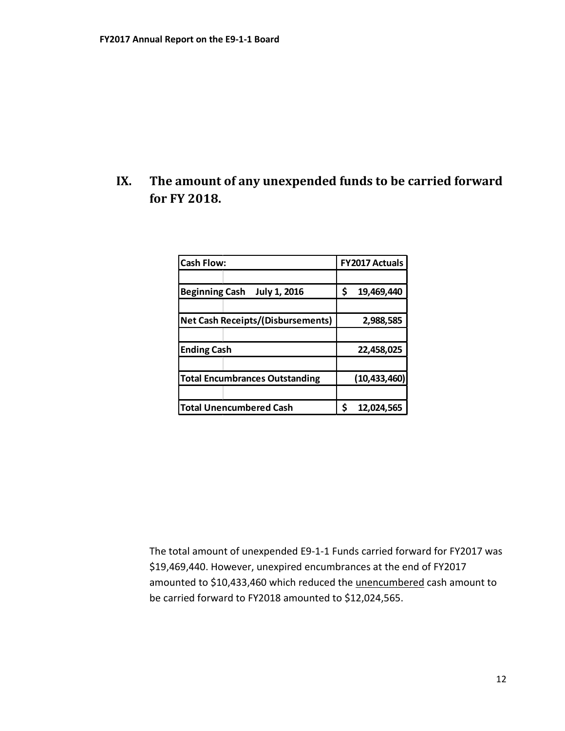## <span id="page-14-0"></span>**IX. The amount of any unexpended funds to be carried forward for FY 2018.**

| <b>Cash Flow:</b>                            | <b>FY2017 Actuals</b> |  |
|----------------------------------------------|-----------------------|--|
|                                              |                       |  |
| <b>Beginning Cash</b><br><b>July 1, 2016</b> | \$<br>19,469,440      |  |
|                                              |                       |  |
| <b>Net Cash Receipts/(Disbursements)</b>     | 2,988,585             |  |
|                                              |                       |  |
| <b>Ending Cash</b>                           | 22,458,025            |  |
|                                              |                       |  |
| <b>Total Encumbrances Outstanding</b>        | (10, 433, 460)        |  |
|                                              |                       |  |
| <b>Total Unencumbered Cash</b>               | Ś<br>12,024,565       |  |

The total amount of unexpended E9-1-1 Funds carried forward for FY2017 was \$19,469,440. However, unexpired encumbrances at the end of FY2017 amounted to \$10,433,460 which reduced the unencumbered cash amount to be carried forward to FY2018 amounted to \$12,024,565.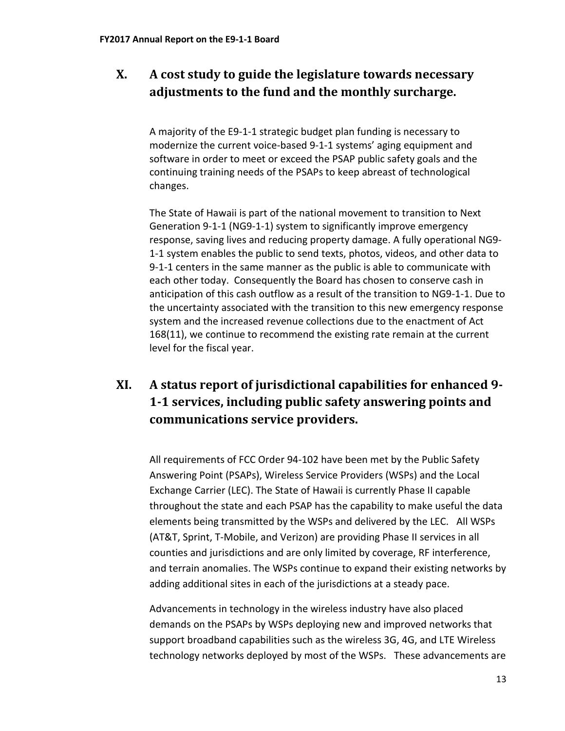## <span id="page-15-0"></span>**X. A cost study to guide the legislature towards necessary adjustments to the fund and the monthly surcharge.**

A majority of the E9-1-1 strategic budget plan funding is necessary to modernize the current voice-based 9-1-1 systems' aging equipment and software in order to meet or exceed the PSAP public safety goals and the continuing training needs of the PSAPs to keep abreast of technological changes.

The State of Hawaii is part of the national movement to transition to Next Generation 9-1-1 (NG9-1-1) system to significantly improve emergency response, saving lives and reducing property damage. A fully operational NG9- 1-1 system enables the public to send texts, photos, videos, and other data to 9-1-1 centers in the same manner as the public is able to communicate with each other today. Consequently the Board has chosen to conserve cash in anticipation of this cash outflow as a result of the transition to NG9-1-1. Due to the uncertainty associated with the transition to this new emergency response system and the increased revenue collections due to the enactment of Act 168(11), we continue to recommend the existing rate remain at the current level for the fiscal year.

## <span id="page-15-1"></span>**XI. A status report of jurisdictional capabilities for enhanced 9- 1-1 services, including public safety answering points and communications service providers.**

All requirements of FCC Order 94-102 have been met by the Public Safety Answering Point (PSAPs), Wireless Service Providers (WSPs) and the Local Exchange Carrier (LEC). The State of Hawaii is currently Phase II capable throughout the state and each PSAP has the capability to make useful the data elements being transmitted by the WSPs and delivered by the LEC. All WSPs (AT&T, Sprint, T-Mobile, and Verizon) are providing Phase II services in all counties and jurisdictions and are only limited by coverage, RF interference, and terrain anomalies. The WSPs continue to expand their existing networks by adding additional sites in each of the jurisdictions at a steady pace.

Advancements in technology in the wireless industry have also placed demands on the PSAPs by WSPs deploying new and improved networks that support broadband capabilities such as the wireless 3G, 4G, and LTE Wireless technology networks deployed by most of the WSPs. These advancements are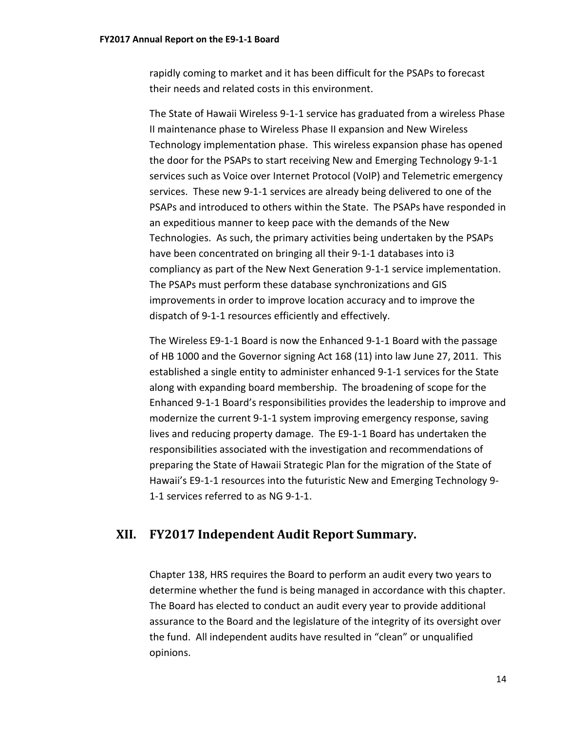rapidly coming to market and it has been difficult for the PSAPs to forecast their needs and related costs in this environment.

The State of Hawaii Wireless 9-1-1 service has graduated from a wireless Phase II maintenance phase to Wireless Phase II expansion and New Wireless Technology implementation phase. This wireless expansion phase has opened the door for the PSAPs to start receiving New and Emerging Technology 9-1-1 services such as Voice over Internet Protocol (VoIP) and Telemetric emergency services. These new 9-1-1 services are already being delivered to one of the PSAPs and introduced to others within the State. The PSAPs have responded in an expeditious manner to keep pace with the demands of the New Technologies. As such, the primary activities being undertaken by the PSAPs have been concentrated on bringing all their 9-1-1 databases into i3 compliancy as part of the New Next Generation 9-1-1 service implementation. The PSAPs must perform these database synchronizations and GIS improvements in order to improve location accuracy and to improve the dispatch of 9-1-1 resources efficiently and effectively.

The Wireless E9-1-1 Board is now the Enhanced 9-1-1 Board with the passage of HB 1000 and the Governor signing Act 168 (11) into law June 27, 2011. This established a single entity to administer enhanced 9-1-1 services for the State along with expanding board membership. The broadening of scope for the Enhanced 9-1-1 Board's responsibilities provides the leadership to improve and modernize the current 9-1-1 system improving emergency response, saving lives and reducing property damage. The E9-1-1 Board has undertaken the responsibilities associated with the investigation and recommendations of preparing the State of Hawaii Strategic Plan for the migration of the State of Hawaii's E9-1-1 resources into the futuristic New and Emerging Technology 9- 1-1 services referred to as NG 9-1-1.

## <span id="page-16-0"></span>**XII. FY2017 Independent Audit Report Summary.**

Chapter 138, HRS requires the Board to perform an audit every two years to determine whether the fund is being managed in accordance with this chapter. The Board has elected to conduct an audit every year to provide additional assurance to the Board and the legislature of the integrity of its oversight over the fund. All independent audits have resulted in "clean" or unqualified opinions.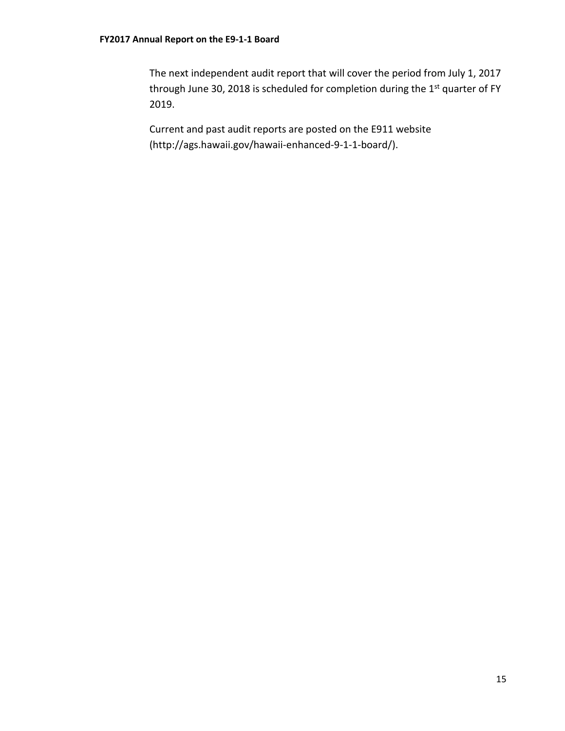The next independent audit report that will cover the period from July 1, 2017 through June 30, 2018 is scheduled for completion during the 1<sup>st</sup> quarter of FY 2019.

Current and past audit reports are posted on the E911 website (http://ags.hawaii.gov/hawaii-enhanced-9-1-1-board/).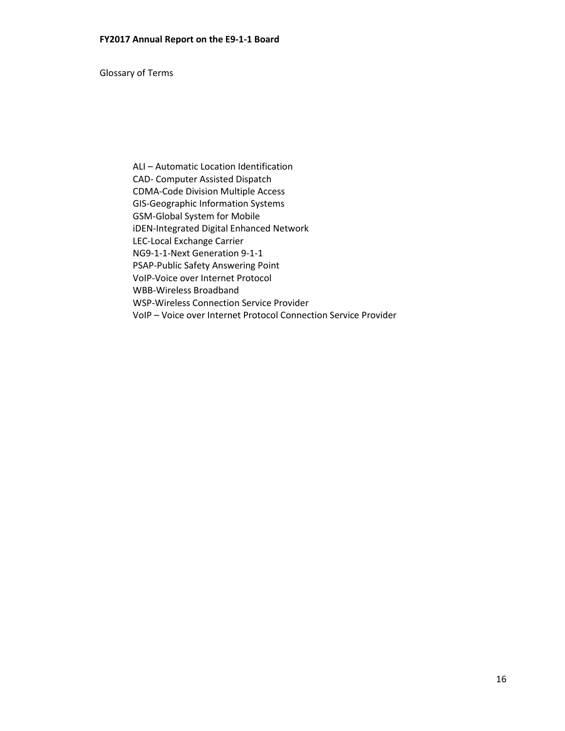Glossary of Terms

ALI – Automatic Location Identification CAD- Computer Assisted Dispatch CDMA-Code Division Multiple Access GIS-Geographic Information Systems GSM-Global System for Mobile iDEN-Integrated Digital Enhanced Network LEC-Local Exchange Carrier NG9-1-1-Next Generation 9-1-1 PSAP-Public Safety Answering Point VoIP-Voice over Internet Protocol WBB-Wireless Broadband WSP-Wireless Connection Service Provider VoIP – Voice over Internet Protocol Connection Service Provider